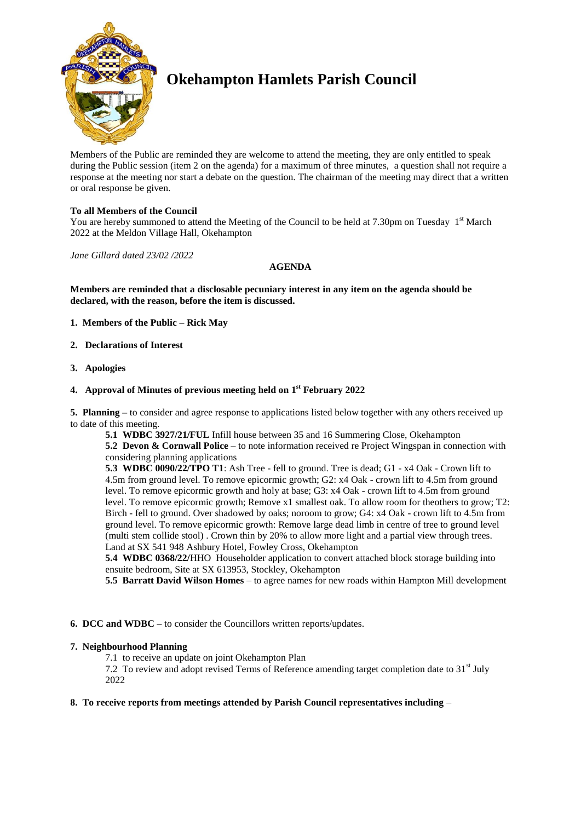

# **Okehampton Hamlets Parish Council**

Members of the Public are reminded they are welcome to attend the meeting, they are only entitled to speak during the Public session (item 2 on the agenda) for a maximum of three minutes, a question shall not require a response at the meeting nor start a debate on the question. The chairman of the meeting may direct that a written or oral response be given.

# **To all Members of the Council**

You are hereby summoned to attend the Meeting of the Council to be held at 7.30pm on Tuesday 1<sup>st</sup> March 2022 at the Meldon Village Hall, Okehampton

*Jane Gillard dated 23/02 /2022*

## **AGENDA**

**Members are reminded that a disclosable pecuniary interest in any item on the agenda should be declared, with the reason, before the item is discussed.** 

- **1. Members of the Public – Rick May**
- **2. Declarations of Interest**
- **3. Apologies**

# **4. Approval of Minutes of previous meeting held on 1 st February 2022**

**5. Planning –** to consider and agree response to applications listed below together with any others received up to date of this meeting.

**5.1 WDBC 3927/21/FUL** Infill house between 35 and 16 Summering Close, Okehampton **5.2 Devon & Cornwall Police** – to note information received re Project Wingspan in connection with considering planning applications

**5.3 WDBC 0090/22/TPO T1**: Ash Tree - fell to ground. Tree is dead; G1 - x4 Oak - Crown lift to 4.5m from ground level. To remove epicormic growth; G2: x4 Oak - crown lift to 4.5m from ground level. To remove epicormic growth and holy at base; G3: x4 Oak - crown lift to 4.5m from ground level. To remove epicormic growth; Remove x1 smallest oak. To allow room for theothers to grow; T2: Birch - fell to ground. Over shadowed by oaks; noroom to grow; G4: x4 Oak - crown lift to 4.5m from ground level. To remove epicormic growth: Remove large dead limb in centre of tree to ground level (multi stem collide stool) . Crown thin by 20% to allow more light and a partial view through trees. Land at SX 541 948 Ashbury Hotel, Fowley Cross, Okehampton

**5.4 WDBC 0368/22/**HHO Householder application to convert attached block storage building into ensuite bedroom, Site at SX 613953, Stockley, Okehampton

**5.5 Barratt David Wilson Homes** – to agree names for new roads within Hampton Mill development

#### **6. DCC and WDBC –** to consider the Councillors written reports/updates.

#### **7. Neighbourhood Planning**

7.1 to receive an update on joint Okehampton Plan

7.2 To review and adopt revised Terms of Reference amending target completion date to  $31<sup>st</sup>$  July 2022

#### **8. To receive reports from meetings attended by Parish Council representatives including** –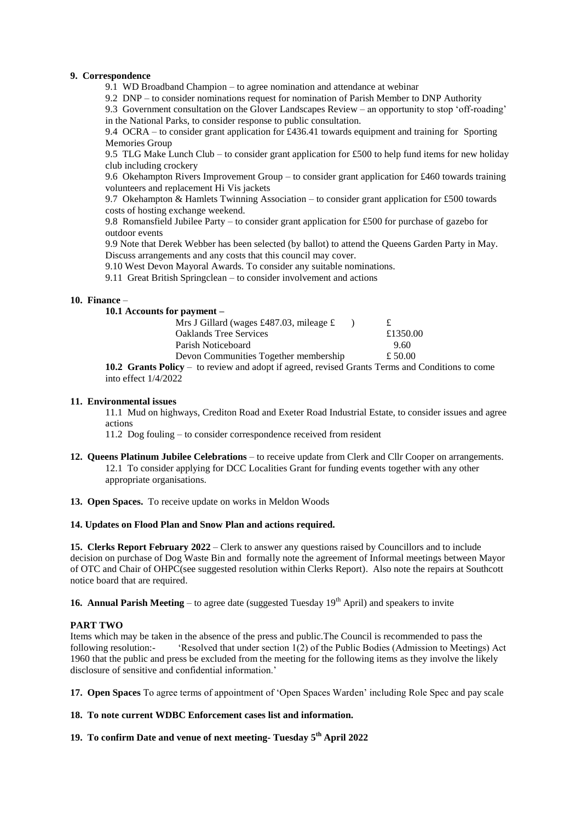#### **9. Correspondence**

9.1 WD Broadband Champion – to agree nomination and attendance at webinar

9.2 DNP – to consider nominations request for nomination of Parish Member to DNP Authority

9.3 Government consultation on the Glover Landscapes Review – an opportunity to stop 'off-roading' in the National Parks, to consider response to public consultation.

9.4 OCRA – to consider grant application for £436.41 towards equipment and training for Sporting Memories Group

9.5 TLG Make Lunch Club – to consider grant application for £500 to help fund items for new holiday club including crockery

9.6 Okehampton Rivers Improvement Group – to consider grant application for £460 towards training volunteers and replacement Hi Vis jackets

9.7 Okehampton & Hamlets Twinning Association – to consider grant application for £500 towards costs of hosting exchange weekend.

9.8 Romansfield Jubilee Party – to consider grant application for £500 for purchase of gazebo for outdoor events

9.9 Note that Derek Webber has been selected (by ballot) to attend the Queens Garden Party in May. Discuss arrangements and any costs that this council may cover.

9.10 West Devon Mayoral Awards. To consider any suitable nominations.

9.11 Great British Springclean – to consider involvement and actions

#### **10. Finance** –

| 10.1 Accounts for payment –                                                                     |          |
|-------------------------------------------------------------------------------------------------|----------|
| Mrs J Gillard (wages £487.03, mileage $\pounds$                                                 |          |
| <b>Oaklands Tree Services</b>                                                                   | £1350.00 |
| Parish Noticeboard                                                                              | 9.60     |
| Devon Communities Together membership                                                           | £ 50.00  |
| 10.2 Grants Policy - to review and adopt if agreed, revised Grants Terms and Conditions to come |          |

into effect 1/4/2022

#### **11. Environmental issues**

11.1 Mud on highways, Crediton Road and Exeter Road Industrial Estate, to consider issues and agree actions

11.2 Dog fouling – to consider correspondence received from resident

- **12. Queens Platinum Jubilee Celebrations** to receive update from Clerk and Cllr Cooper on arrangements. 12.1 To consider applying for DCC Localities Grant for funding events together with any other appropriate organisations.
- **13. Open Spaces.** To receive update on works in Meldon Woods

#### **14. Updates on Flood Plan and Snow Plan and actions required.**

**15. Clerks Report February 2022** – Clerk to answer any questions raised by Councillors and to include decision on purchase of Dog Waste Bin and formally note the agreement of Informal meetings between Mayor of OTC and Chair of OHPC(see suggested resolution within Clerks Report). Also note the repairs at Southcott notice board that are required.

**16. Annual Parish Meeting** – to agree date (suggested Tuesday  $19<sup>th</sup>$  April) and speakers to invite

#### **PART TWO**

Items which may be taken in the absence of the press and public.The Council is recommended to pass the following resolution:- 'Resolved that under section 1(2) of the Public Bodies (Admission to Meetings) Act 1960 that the public and press be excluded from the meeting for the following items as they involve the likely disclosure of sensitive and confidential information.'

**17. Open Spaces** To agree terms of appointment of 'Open Spaces Warden' including Role Spec and pay scale

## **18. To note current WDBC Enforcement cases list and information.**

**19. To confirm Date and venue of next meeting- Tuesday 5 th April 2022**